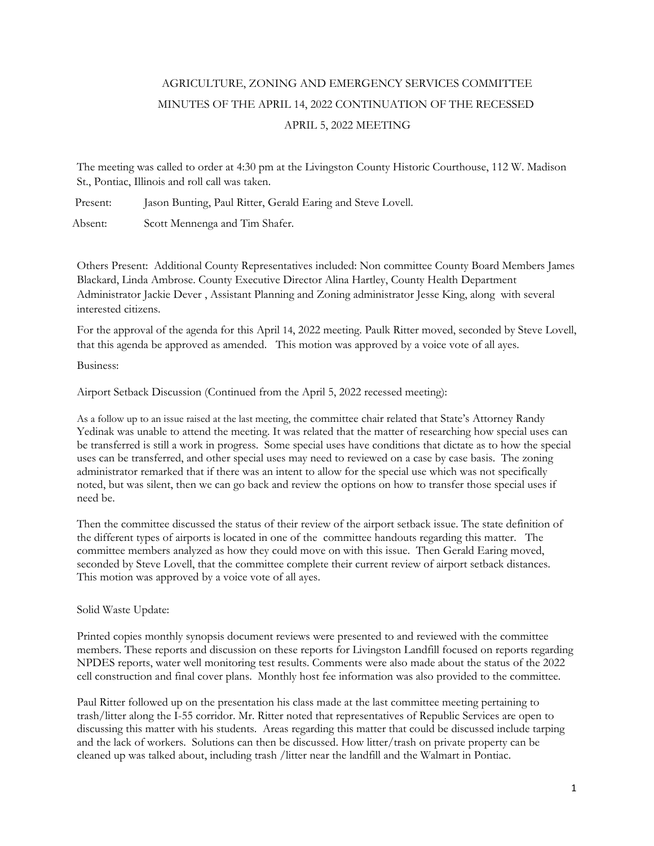## AGRICULTURE, ZONING AND EMERGENCY SERVICES COMMITTEE MINUTES OF THE APRIL 14, 2022 CONTINUATION OF THE RECESSED APRIL 5, 2022 MEETING

The meeting was called to order at 4:30 pm at the Livingston County Historic Courthouse, 112 W. Madison St., Pontiac, Illinois and roll call was taken.

Present: Jason Bunting, Paul Ritter, Gerald Earing and Steve Lovell.

Absent: Scott Mennenga and Tim Shafer.

Others Present: Additional County Representatives included: Non committee County Board Members James Blackard, Linda Ambrose. County Executive Director Alina Hartley, County Health Department Administrator Jackie Dever , Assistant Planning and Zoning administrator Jesse King, along with several interested citizens.

For the approval of the agenda for this April 14, 2022 meeting. Paulk Ritter moved, seconded by Steve Lovell, that this agenda be approved as amended. This motion was approved by a voice vote of all ayes.

Business:

Airport Setback Discussion (Continued from the April 5, 2022 recessed meeting):

As a follow up to an issue raised at the last meeting, the committee chair related that State's Attorney Randy Yedinak was unable to attend the meeting. It was related that the matter of researching how special uses can be transferred is still a work in progress. Some special uses have conditions that dictate as to how the special uses can be transferred, and other special uses may need to reviewed on a case by case basis. The zoning administrator remarked that if there was an intent to allow for the special use which was not specifically noted, but was silent, then we can go back and review the options on how to transfer those special uses if need be.

Then the committee discussed the status of their review of the airport setback issue. The state definition of the different types of airports is located in one of the committee handouts regarding this matter. The committee members analyzed as how they could move on with this issue. Then Gerald Earing moved, seconded by Steve Lovell, that the committee complete their current review of airport setback distances. This motion was approved by a voice vote of all ayes.

Solid Waste Update:

Printed copies monthly synopsis document reviews were presented to and reviewed with the committee members. These reports and discussion on these reports for Livingston Landfill focused on reports regarding NPDES reports, water well monitoring test results. Comments were also made about the status of the 2022 cell construction and final cover plans. Monthly host fee information was also provided to the committee.

Paul Ritter followed up on the presentation his class made at the last committee meeting pertaining to trash/litter along the I-55 corridor. Mr. Ritter noted that representatives of Republic Services are open to discussing this matter with his students. Areas regarding this matter that could be discussed include tarping and the lack of workers. Solutions can then be discussed. How litter/trash on private property can be cleaned up was talked about, including trash /litter near the landfill and the Walmart in Pontiac.